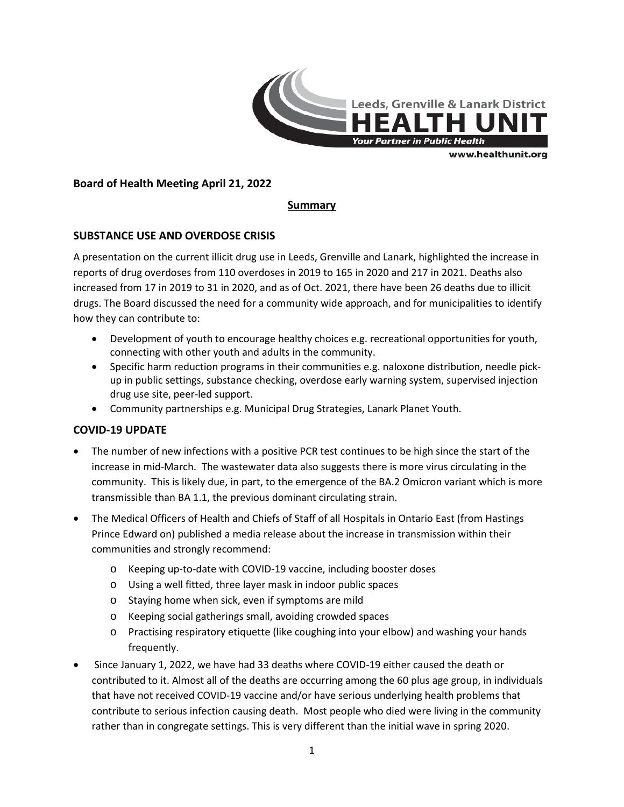

## **Board of Health Meeting April 21, 2022**

## **Summary**

## **SUBSTANCE USE AND OVERDOSE CRISIS**

A presentation on the current illicit drug use in Leeds, Grenville and Lanark, highlighted the increase in reports of drug overdoses from 110 overdoses in 2019 to 165 in 2020 and 217 in 2021. Deaths also increased from 17 in 2019 to 31 in 2020, and as of Oct. 2021, there have been 26 deaths due to illicit drugs. The Board discussed the need for a community wide approach, and for municipalities to identify how they can contribute to:

- Development of youth to encourage healthy choices e.g. recreational opportunities for youth, connecting with other youth and adults in the community.
- Specific harm reduction programs in their communities e.g. naloxone distribution, needle pickup in public settings, substance checking, overdose early warning system, supervised injection drug use site, peer-led support.
- Community partnerships e.g. Municipal Drug Strategies, Lanark Planet Youth.

#### **COVID-19 UPDATE**

- The number of new infections with a positive PCR test continues to be high since the start of the increase in mid-March. The wastewater data also suggests there is more virus circulating in the community. This is likely due, in part, to the emergence of the BA.2 Omicron variant which is more transmissible than BA 1.1, the previous dominant circulating strain.
- The Medical Officers of Health and Chiefs of Staff of all Hospitals in Ontario East (from Hastings Prince Edward on) published a media release about the increase in transmission within their communities and strongly recommend:
	- o Keeping up-to-date with COVID-19 vaccine, including booster doses
	- o Using a well fitted, three layer mask in indoor public spaces
	- o Staying home when sick, even if symptoms are mild
	- o Keeping social gatherings small, avoiding crowded spaces
	- o Practising respiratory etiquette (like coughing into your elbow) and washing your hands frequently.
- Since January 1, 2022, we have had 33 deaths where COVID-19 either caused the death or contributed to it. Almost all of the deaths are occurring among the 60 plus age group, in individuals that have not received COVID-19 vaccine and/or have serious underlying health problems that contribute to serious infection causing death. Most people who died were living in the community rather than in congregate settings. This is very different than the initial wave in spring 2020.